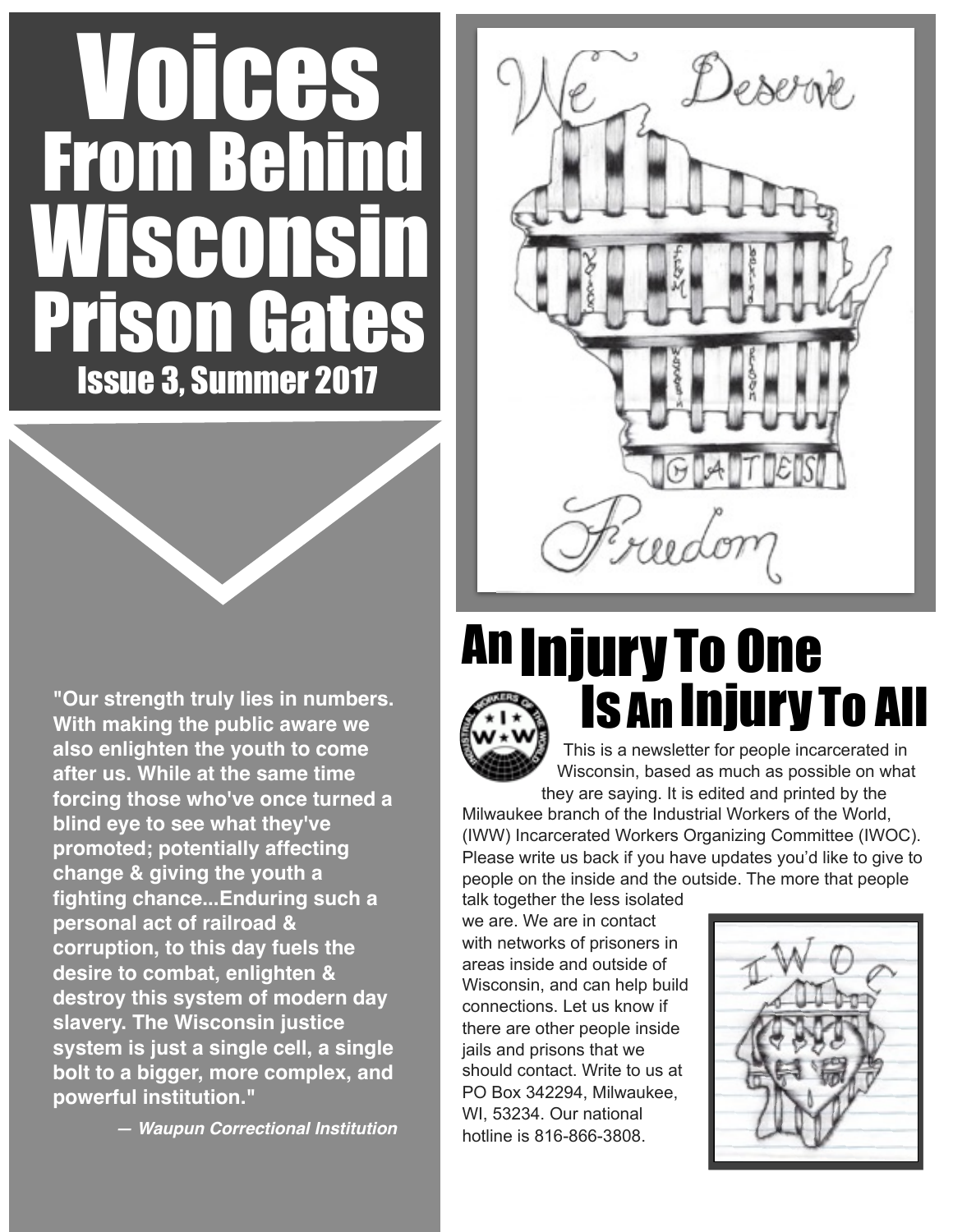# Issue 3, Summer 2017 Prison Gates **GO** From Behi VOICES

**"Our strength truly lies in numbers. With making the public aware we also enlighten the youth to come after us. While at the same time forcing those who've once turned a blind eye to see what they've promoted; potentially affecting change & giving the youth a fighting chance...Enduring such a personal act of railroad & corruption, to this day fuels the desire to combat, enlighten & destroy this system of modern day slavery. The Wisconsin justice system is just a single cell, a single bolt to a bigger, more complex, and powerful institution."**

*— Waupun Correctional Institution* 



### This is a newsletter for people incarcerated in **An Injury To One** IsAn InjuryTo All

Wisconsin, based as much as possible on what they are saying. It is edited and printed by the Milwaukee branch of the Industrial Workers of the World,

(IWW) Incarcerated Workers Organizing Committee (IWOC). Please write us back if you have updates you'd like to give to people on the inside and the outside. The more that people

talk together the less isolated we are. We are in contact with networks of prisoners in areas inside and outside of Wisconsin, and can help build connections. Let us know if there are other people inside jails and prisons that we should contact. Write to us at PO Box 342294, Milwaukee, WI, 53234. Our national hotline is 816-866-3808.

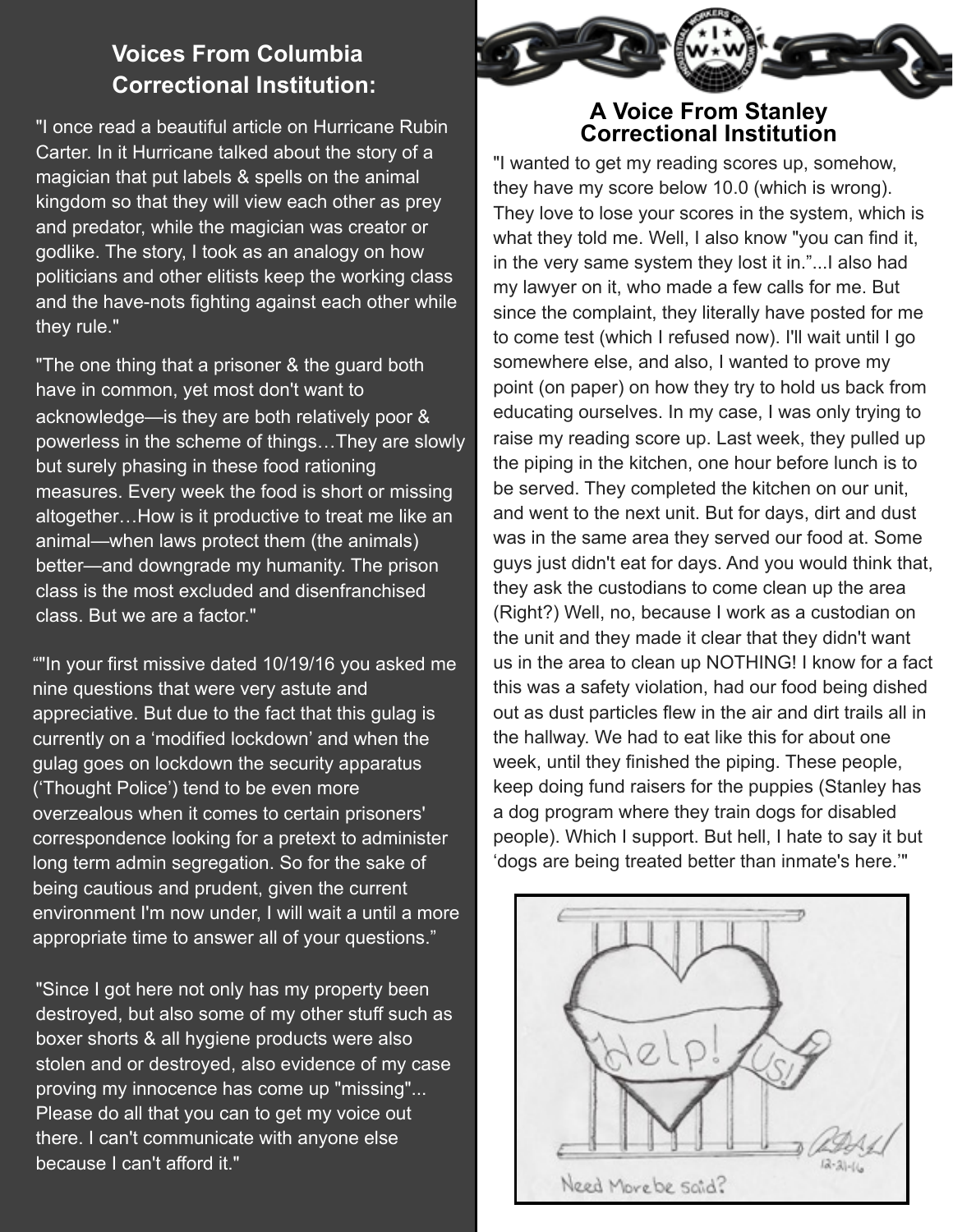### **Voices From Columbia Correctional Institution:**

"I once read a beautiful article on Hurricane Rubin Carter. In it Hurricane talked about the story of a magician that put labels & spells on the animal kingdom so that they will view each other as prey and predator, while the magician was creator or godlike. The story, I took as an analogy on how politicians and other elitists keep the working class and the have-nots fighting against each other while they rule."

"The one thing that a prisoner & the guard both have in common, yet most don't want to acknowledge—is they are both relatively poor & powerless in the scheme of things…They are slowly but surely phasing in these food rationing measures. Every week the food is short or missing altogether…How is it productive to treat me like an animal—when laws protect them (the animals) better—and downgrade my humanity. The prison class is the most excluded and disenfranchised class. But we are a factor."

""In your first missive dated 10/19/16 you asked me nine questions that were very astute and appreciative. But due to the fact that this gulag is currently on a 'modified lockdown' and when the gulag goes on lockdown the security apparatus ('Thought Police') tend to be even more overzealous when it comes to certain prisoners' correspondence looking for a pretext to administer long term admin segregation. So for the sake of being cautious and prudent, given the current environment I'm now under, I will wait a until a more appropriate time to answer all of your questions."

"Since I got here not only has my property been destroyed, but also some of my other stuff such as boxer shorts & all hygiene products were also stolen and or destroyed, also evidence of my case proving my innocence has come up "missing"... Please do all that you can to get my voice out there. I can't communicate with anyone else because I can't afford it."



## **<sup>A</sup> Voice From Stanley Correctional Institution**

"I wanted to get my reading scores up, somehow, they have my score below 10.0 (which is wrong). They love to lose your scores in the system, which is what they told me. Well, I also know "you can find it, in the very same system they lost it in."...I also had my lawyer on it, who made a few calls for me. But since the complaint, they literally have posted for me to come test (which I refused now). I'll wait until I go somewhere else, and also, I wanted to prove my point (on paper) on how they try to hold us back from educating ourselves. In my case, I was only trying to raise my reading score up. Last week, they pulled up the piping in the kitchen, one hour before lunch is to be served. They completed the kitchen on our unit, and went to the next unit. But for days, dirt and dust was in the same area they served our food at. Some guys just didn't eat for days. And you would think that, they ask the custodians to come clean up the area (Right?) Well, no, because I work as a custodian on the unit and they made it clear that they didn't want us in the area to clean up NOTHING! I know for a fact this was a safety violation, had our food being dished out as dust particles flew in the air and dirt trails all in the hallway. We had to eat like this for about one week, until they finished the piping. These people, keep doing fund raisers for the puppies (Stanley has a dog program where they train dogs for disabled people). Which I support. But hell, I hate to say it but 'dogs are being treated better than inmate's here.'"

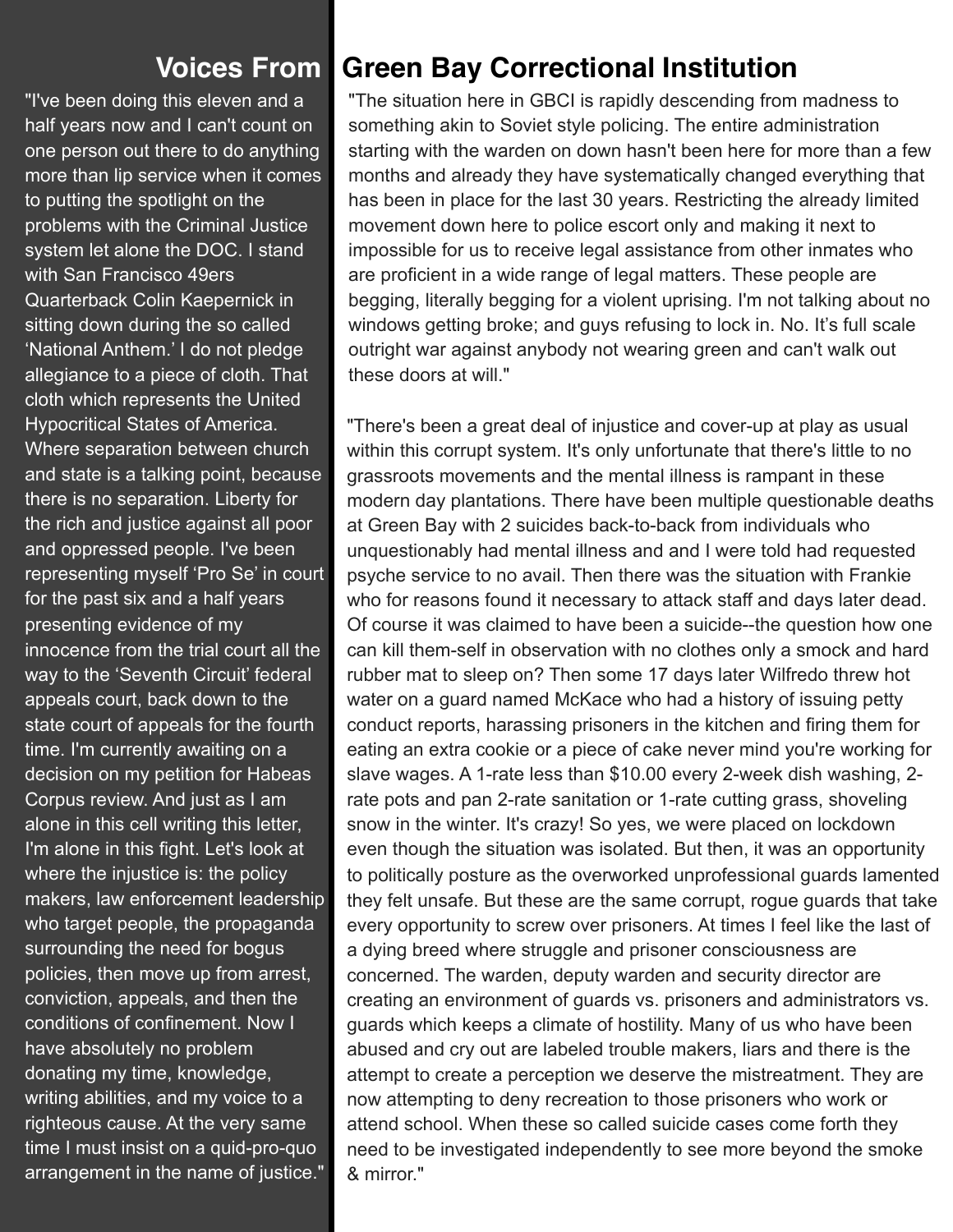### **Voices From**

"I've been doing this eleven and a half years now and I can't count on one person out there to do anything more than lip service when it comes to putting the spotlight on the problems with the Criminal Justice system let alone the DOC. I stand with San Francisco 49ers Quarterback Colin Kaepernick in sitting down during the so called 'National Anthem.' I do not pledge allegiance to a piece of cloth. That cloth which represents the United Hypocritical States of America. Where separation between church and state is a talking point, because there is no separation. Liberty for the rich and justice against all poor and oppressed people. I've been representing myself 'Pro Se' in court for the past six and a half years presenting evidence of my innocence from the trial court all the way to the 'Seventh Circuit' federal appeals court, back down to the state court of appeals for the fourth time. I'm currently awaiting on a decision on my petition for Habeas Corpus review. And just as I am alone in this cell writing this letter, I'm alone in this fight. Let's look at where the injustice is: the policy makers, law enforcement leadership who target people, the propaganda surrounding the need for bogus policies, then move up from arrest, conviction, appeals, and then the conditions of confinement. Now I have absolutely no problem donating my time, knowledge, writing abilities, and my voice to a righteous cause. At the very same time I must insist on a quid-pro-quo arrangement in the name of justice."

### **Green Bay Correctional Institution**

"The situation here in GBCI is rapidly descending from madness to something akin to Soviet style policing. The entire administration starting with the warden on down hasn't been here for more than a few months and already they have systematically changed everything that has been in place for the last 30 years. Restricting the already limited movement down here to police escort only and making it next to impossible for us to receive legal assistance from other inmates who are proficient in a wide range of legal matters. These people are begging, literally begging for a violent uprising. I'm not talking about no windows getting broke; and guys refusing to lock in. No. It's full scale outright war against anybody not wearing green and can't walk out these doors at will."

"There's been a great deal of injustice and cover-up at play as usual within this corrupt system. It's only unfortunate that there's little to no grassroots movements and the mental illness is rampant in these modern day plantations. There have been multiple questionable deaths at Green Bay with 2 suicides back-to-back from individuals who unquestionably had mental illness and and I were told had requested psyche service to no avail. Then there was the situation with Frankie who for reasons found it necessary to attack staff and days later dead. Of course it was claimed to have been a suicide--the question how one can kill them-self in observation with no clothes only a smock and hard rubber mat to sleep on? Then some 17 days later Wilfredo threw hot water on a guard named McKace who had a history of issuing petty conduct reports, harassing prisoners in the kitchen and firing them for eating an extra cookie or a piece of cake never mind you're working for slave wages. A 1-rate less than \$10.00 every 2-week dish washing, 2 rate pots and pan 2-rate sanitation or 1-rate cutting grass, shoveling snow in the winter. It's crazy! So yes, we were placed on lockdown even though the situation was isolated. But then, it was an opportunity to politically posture as the overworked unprofessional guards lamented they felt unsafe. But these are the same corrupt, rogue guards that take every opportunity to screw over prisoners. At times I feel like the last of a dying breed where struggle and prisoner consciousness are concerned. The warden, deputy warden and security director are creating an environment of guards vs. prisoners and administrators vs. guards which keeps a climate of hostility. Many of us who have been abused and cry out are labeled trouble makers, liars and there is the attempt to create a perception we deserve the mistreatment. They are now attempting to deny recreation to those prisoners who work or attend school. When these so called suicide cases come forth they need to be investigated independently to see more beyond the smoke & mirror."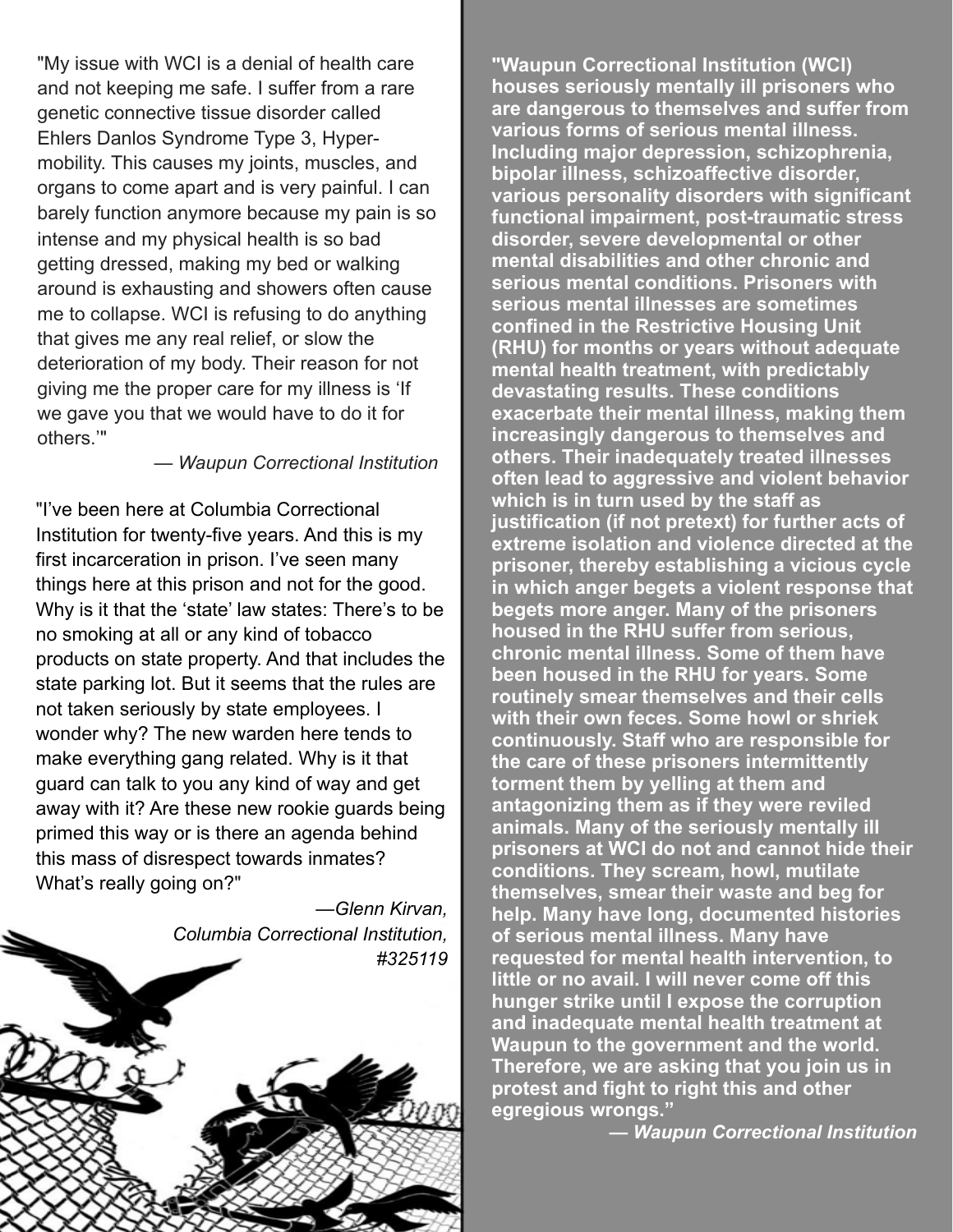"My issue with WCI is a denial of health care and not keeping me safe. I suffer from a rare genetic connective tissue disorder called Ehlers Danlos Syndrome Type 3, Hypermobility. This causes my joints, muscles, and organs to come apart and is very painful. I can barely function anymore because my pain is so intense and my physical health is so bad getting dressed, making my bed or walking around is exhausting and showers often cause me to collapse. WCI is refusing to do anything that gives me any real relief, or slow the deterioration of my body. Their reason for not giving me the proper care for my illness is 'If we gave you that we would have to do it for others.'"

— *Waupun Correctional Institution*

"I've been here at Columbia Correctional Institution for twenty-five years. And this is my first incarceration in prison. I've seen many things here at this prison and not for the good. Why is it that the 'state' law states: There's to be no smoking at all or any kind of tobacco products on state property. And that includes the state parking lot. But it seems that the rules are not taken seriously by state employees. I wonder why? The new warden here tends to make everything gang related. Why is it that guard can talk to you any kind of way and get away with it? Are these new rookie guards being primed this way or is there an agenda behind this mass of disrespect towards inmates? What's really going on?"

*—Glenn Kirvan, Columbia Correctional Institution, #325119*

**"Waupun Correctional Institution (WCI) houses seriously mentally ill prisoners who are dangerous to themselves and suffer from various forms of serious mental illness. Including major depression, schizophrenia, bipolar illness, schizoaffective disorder, various personality disorders with significant functional impairment, post-traumatic stress disorder, severe developmental or other mental disabilities and other chronic and serious mental conditions. Prisoners with serious mental illnesses are sometimes confined in the Restrictive Housing Unit (RHU) for months or years without adequate mental health treatment, with predictably devastating results. These conditions exacerbate their mental illness, making them increasingly dangerous to themselves and others. Their inadequately treated illnesses often lead to aggressive and violent behavior which is in turn used by the staff as justification (if not pretext) for further acts of extreme isolation and violence directed at the prisoner, thereby establishing a vicious cycle in which anger begets a violent response that begets more anger. Many of the prisoners housed in the RHU suffer from serious, chronic mental illness. Some of them have been housed in the RHU for years. Some routinely smear themselves and their cells with their own feces. Some howl or shriek continuously. Staff who are responsible for the care of these prisoners intermittently torment them by yelling at them and antagonizing them as if they were reviled animals. Many of the seriously mentally ill prisoners at WCI do not and cannot hide their conditions. They scream, howl, mutilate themselves, smear their waste and beg for help. Many have long, documented histories of serious mental illness. Many have requested for mental health intervention, to little or no avail. I will never come off this hunger strike until I expose the corruption and inadequate mental health treatment at Waupun to the government and the world. Therefore, we are asking that you join us in protest and fight to right this and other egregious wrongs."** 

**—** *Waupun Correctional Institution*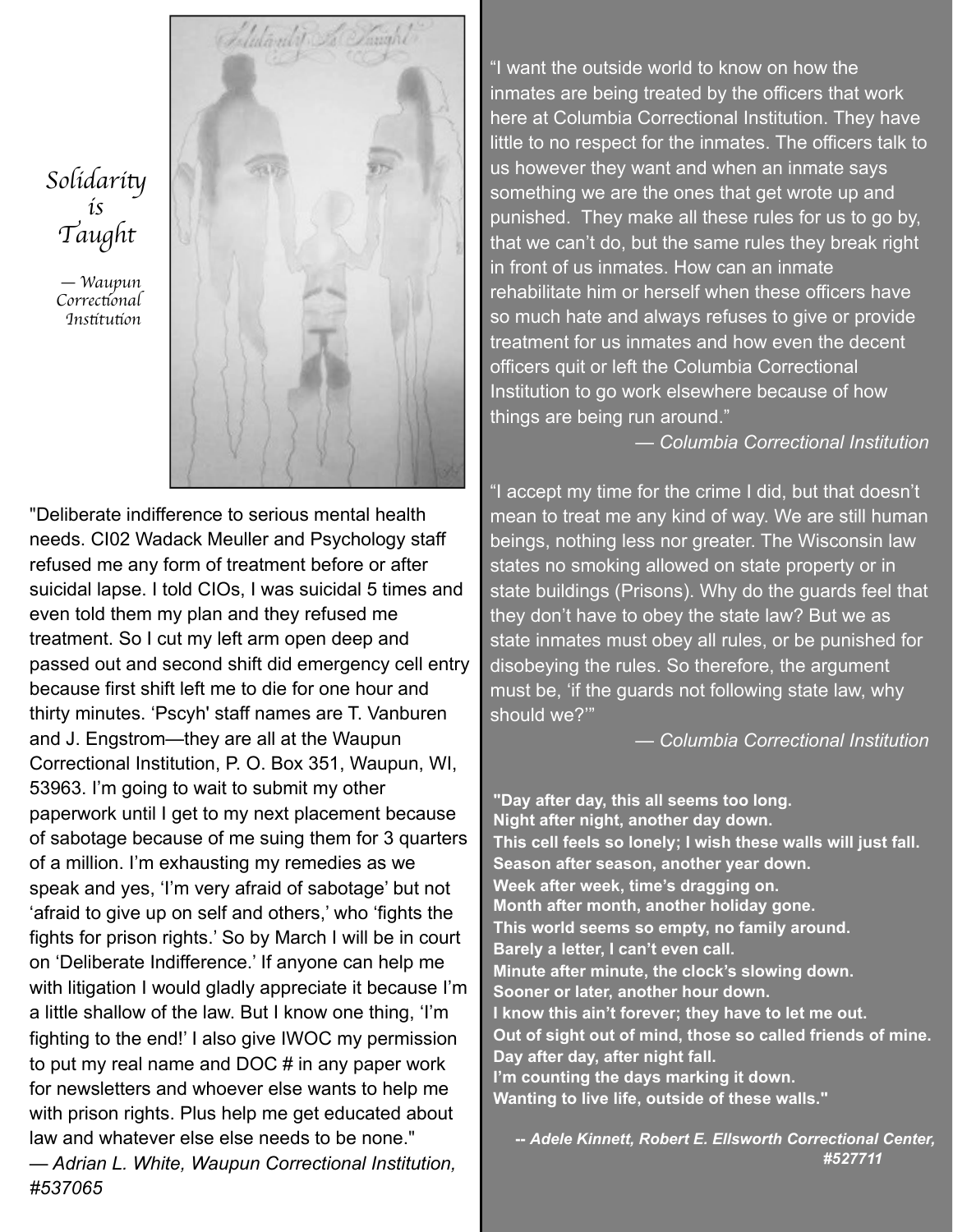

*Solidari*t *is Taught*

— *Waupun Correc*t*onal Ins*t*tu*t*on*

"Deliberate indifference to serious mental health needs. CI02 Wadack Meuller and Psychology staff refused me any form of treatment before or after suicidal lapse. I told CIOs, I was suicidal 5 times and even told them my plan and they refused me treatment. So I cut my left arm open deep and passed out and second shift did emergency cell entry because first shift left me to die for one hour and thirty minutes. 'Pscyh' staff names are T. Vanburen and J. Engstrom—they are all at the Waupun Correctional Institution, P. O. Box 351, Waupun, WI, 53963. I'm going to wait to submit my other paperwork until I get to my next placement because of sabotage because of me suing them for 3 quarters of a million. I'm exhausting my remedies as we speak and yes, 'I'm very afraid of sabotage' but not 'afraid to give up on self and others,' who 'fights the fights for prison rights.' So by March I will be in court on 'Deliberate Indifference.' If anyone can help me with litigation I would gladly appreciate it because I'm a little shallow of the law. But I know one thing, 'I'm fighting to the end!' I also give IWOC my permission to put my real name and DOC # in any paper work for newsletters and whoever else wants to help me with prison rights. Plus help me get educated about law and whatever else else needs to be none."

*— Adrian L. White, Waupun Correctional Institution, #537065*

"I want the outside world to know on how the inmates are being treated by the officers that work here at Columbia Correctional Institution. They have little to no respect for the inmates. The officers talk to us however they want and when an inmate says something we are the ones that get wrote up and punished. They make all these rules for us to go by, that we can't do, but the same rules they break right in front of us inmates. How can an inmate rehabilitate him or herself when these officers have so much hate and always refuses to give or provide treatment for us inmates and how even the decent officers quit or left the Columbia Correctional Institution to go work elsewhere because of how things are being run around."

— *Columbia Correctional Institution*

"I accept my time for the crime I did, but that doesn't mean to treat me any kind of way. We are still human beings, nothing less nor greater. The Wisconsin law states no smoking allowed on state property or in state buildings (Prisons). Why do the guards feel that they don't have to obey the state law? But we as state inmates must obey all rules, or be punished for disobeying the rules. So therefore, the argument must be, 'if the guards not following state law, why should we?'"

*— Columbia Correctional Institution*

**"Day after day, this all seems too long. Night after night, another day down. This cell feels so lonely; I wish these walls will just fall. Season after season, another year down. Week after week, time's dragging on. Month after month, another holiday gone. This world seems so empty, no family around. Barely a letter, I can't even call. Minute after minute, the clock's slowing down. Sooner or later, another hour down. I know this ain't forever; they have to let me out. Out of sight out of mind, those so called friends of mine. Day after day, after night fall. I'm counting the days marking it down. Wanting to live life, outside of these walls."**

**--** *Adele Kinnett, Robert E. Ellsworth Correctional Center, #527711*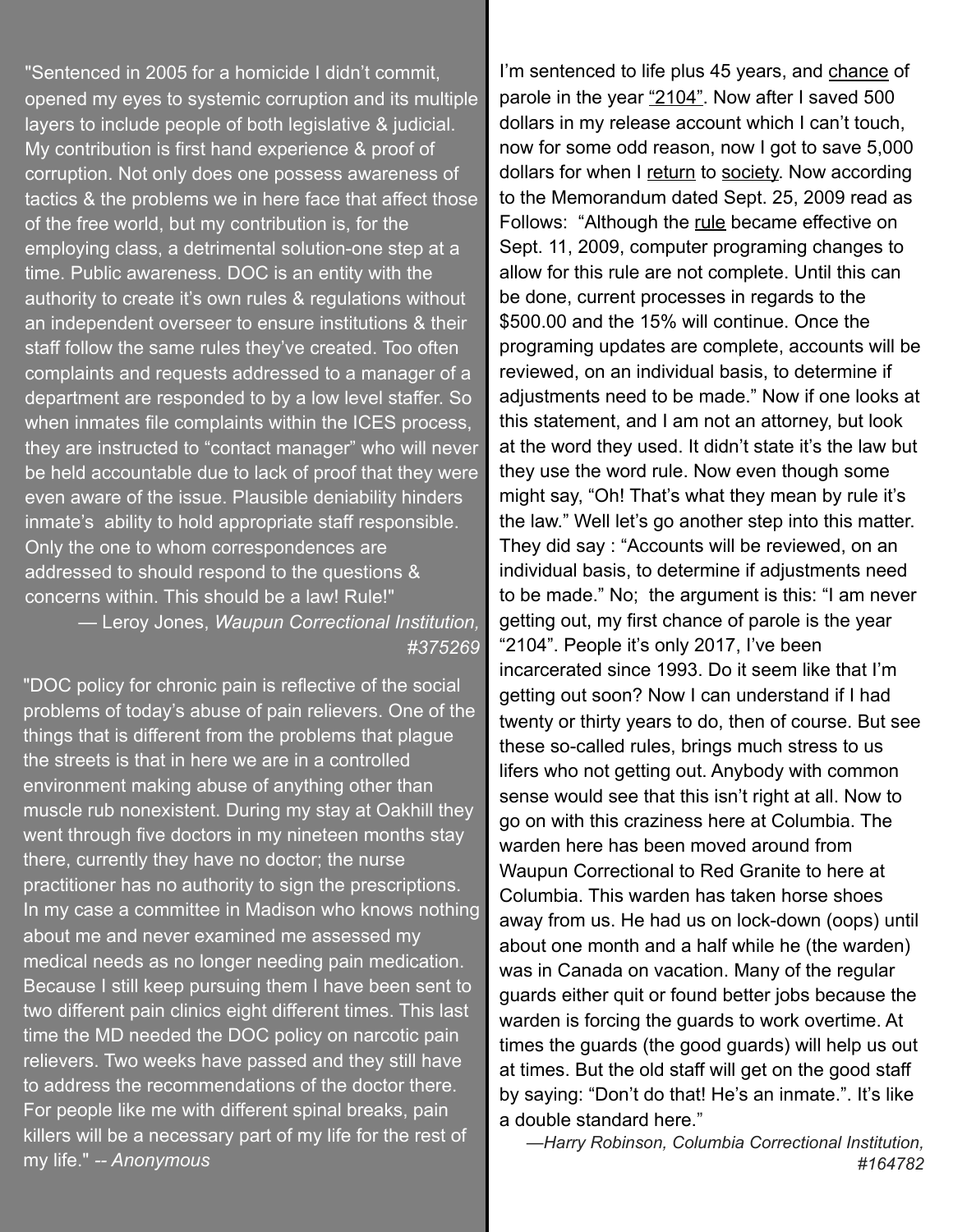"Sentenced in 2005 for a homicide I didn't commit, opened my eyes to systemic corruption and its multiple layers to include people of both legislative & judicial. My contribution is first hand experience & proof of corruption. Not only does one possess awareness of tactics & the problems we in here face that affect those of the free world, but my contribution is, for the employing class, a detrimental solution-one step at a time. Public awareness. DOC is an entity with the authority to create it's own rules & regulations without an independent overseer to ensure institutions & their staff follow the same rules they've created. Too often complaints and requests addressed to a manager of a department are responded to by a low level staffer. So when inmates file complaints within the ICES process, they are instructed to "contact manager" who will never be held accountable due to lack of proof that they were even aware of the issue. Plausible deniability hinders inmate's ability to hold appropriate staff responsible. Only the one to whom correspondences are addressed to should respond to the questions & concerns within. This should be a law! Rule!" — Leroy Jones, *Waupun Correctional Institution,* 

*#375269*

"DOC policy for chronic pain is reflective of the social problems of today's abuse of pain relievers. One of the things that is different from the problems that plague the streets is that in here we are in a controlled environment making abuse of anything other than muscle rub nonexistent. During my stay at Oakhill they went through five doctors in my nineteen months stay there, currently they have no doctor; the nurse practitioner has no authority to sign the prescriptions. In my case a committee in Madison who knows nothing about me and never examined me assessed my medical needs as no longer needing pain medication. Because I still keep pursuing them I have been sent to two different pain clinics eight different times. This last time the MD needed the DOC policy on narcotic pain relievers. Two weeks have passed and they still have to address the recommendations of the doctor there. For people like me with different spinal breaks, pain killers will be a necessary part of my life for the rest of my life." *-- Anonymous*

I'm sentenced to life plus 45 years, and chance of parole in the year "2104". Now after I saved 500 dollars in my release account which I can't touch, now for some odd reason, now I got to save 5,000 dollars for when I return to society. Now according to the Memorandum dated Sept. 25, 2009 read as Follows: "Although the rule became effective on Sept. 11, 2009, computer programing changes to allow for this rule are not complete. Until this can be done, current processes in regards to the \$500.00 and the 15% will continue. Once the programing updates are complete, accounts will be reviewed, on an individual basis, to determine if adjustments need to be made." Now if one looks at this statement, and I am not an attorney, but look at the word they used. It didn't state it's the law but they use the word rule. Now even though some might say, "Oh! That's what they mean by rule it's the law." Well let's go another step into this matter. They did say : "Accounts will be reviewed, on an individual basis, to determine if adjustments need to be made." No; the argument is this: "I am never getting out, my first chance of parole is the year "2104". People it's only 2017, I've been incarcerated since 1993. Do it seem like that I'm getting out soon? Now I can understand if I had twenty or thirty years to do, then of course. But see these so-called rules, brings much stress to us lifers who not getting out. Anybody with common sense would see that this isn't right at all. Now to go on with this craziness here at Columbia. The warden here has been moved around from Waupun Correctional to Red Granite to here at Columbia. This warden has taken horse shoes away from us. He had us on lock-down (oops) until about one month and a half while he (the warden) was in Canada on vacation. Many of the regular guards either quit or found better jobs because the warden is forcing the guards to work overtime. At times the guards (the good guards) will help us out at times. But the old staff will get on the good staff by saying: "Don't do that! He's an inmate.". It's like a double standard here."

*—Harry Robinson, Columbia Correctional Institution, #164782*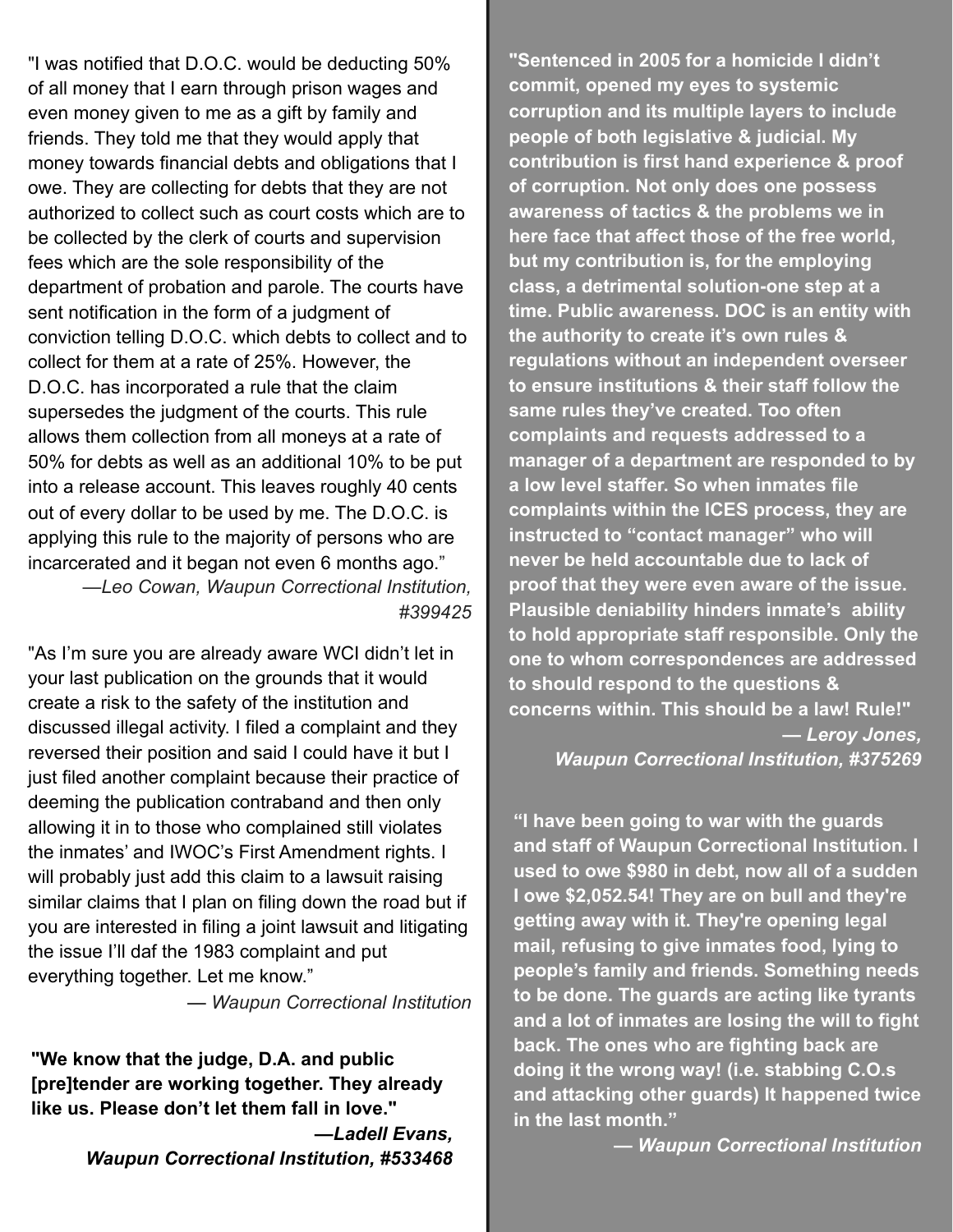"I was notified that D.O.C. would be deducting 50% of all money that I earn through prison wages and even money given to me as a gift by family and friends. They told me that they would apply that money towards financial debts and obligations that I owe. They are collecting for debts that they are not authorized to collect such as court costs which are to be collected by the clerk of courts and supervision fees which are the sole responsibility of the department of probation and parole. The courts have sent notification in the form of a judgment of conviction telling D.O.C. which debts to collect and to collect for them at a rate of 25%. However, the D.O.C. has incorporated a rule that the claim supersedes the judgment of the courts. This rule allows them collection from all moneys at a rate of 50% for debts as well as an additional 10% to be put into a release account. This leaves roughly 40 cents out of every dollar to be used by me. The D.O.C. is applying this rule to the majority of persons who are incarcerated and it began not even 6 months ago." —*Leo Cowan, Waupun Correctional Institution, #399425*

"As I'm sure you are already aware WCI didn't let in your last publication on the grounds that it would create a risk to the safety of the institution and discussed illegal activity. I filed a complaint and they reversed their position and said I could have it but I just filed another complaint because their practice of deeming the publication contraband and then only allowing it in to those who complained still violates the inmates' and IWOC's First Amendment rights. I will probably just add this claim to a lawsuit raising similar claims that I plan on filing down the road but if you are interested in filing a joint lawsuit and litigating the issue I'll daf the 1983 complaint and put everything together. Let me know."

 *— Waupun Correctional Institution*

**"We know that the judge, D.A. and public [pre]tender are working together. They already like us. Please don't let them fall in love."**

> **—***Ladell Evans, Waupun Correctional Institution, #533468*

**"Sentenced in 2005 for a homicide I didn't commit, opened my eyes to systemic corruption and its multiple layers to include people of both legislative & judicial. My contribution is first hand experience & proof of corruption. Not only does one possess awareness of tactics & the problems we in here face that affect those of the free world, but my contribution is, for the employing class, a detrimental solution-one step at a time. Public awareness. DOC is an entity with the authority to create it's own rules & regulations without an independent overseer to ensure institutions & their staff follow the same rules they've created. Too often complaints and requests addressed to a manager of a department are responded to by a low level staffer. So when inmates file complaints within the ICES process, they are instructed to "contact manager" who will never be held accountable due to lack of proof that they were even aware of the issue. Plausible deniability hinders inmate's ability to hold appropriate staff responsible. Only the one to whom correspondences are addressed to should respond to the questions & concerns within. This should be a law! Rule!"** *— Leroy Jones,* 

*Waupun Correctional Institution, #375269*

**"I have been going to war with the guards and staff of Waupun Correctional Institution. I used to owe \$980 in debt, now all of a sudden I owe \$2,052.54! They are on bull and they're getting away with it. They're opening legal mail, refusing to give inmates food, lying to people's family and friends. Something needs to be done. The guards are acting like tyrants and a lot of inmates are losing the will to fight back. The ones who are fighting back are doing it the wrong way! (i.e. stabbing C.O.s and attacking other guards) It happened twice in the last month."** 

**—** *Waupun Correctional Institution*